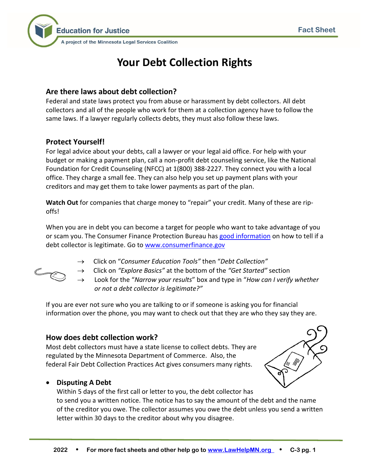

# **Your Debt Collection Rights**

# **Are there laws about debt collection?**

Federal and state laws protect you from abuse or harassment by debt collectors. All debt collectors and all of the people who work for them at a collection agency have to follow the same laws. If a lawyer regularly collects debts, they must also follow these laws.

# **Protect Yourself!**

For legal advice about your debts, call a lawyer or your legal aid office. For help with your budget or making a payment plan, call a non-profit debt counseling service, like the National Foundation for Credit Counseling (NFCC) at 1(800) 388-2227. They connect you with a local office. They charge a small fee. They can also help you set up payment plans with your creditors and may get them to take lower payments as part of the plan.

**Watch Out** for companies that charge money to "repair" your credit. Many of these are ripoffs!

When you are in debt you can become a target for people who want to take advantage of you or scam you. The Consumer Finance Protection Bureau has [good information](http://www.consumerfinance.gov/askcfpb/1699/how-can-i-verify-whether-or-not-debt-collector-legitimate.html) on how to tell if a debt collector is legitimate. Go to [www.consumerfinance.gov](http://www.consumerfinance.gov/)



- → Click on "*Consumer Education Tools"* then "*Debt Collection"*
- → Click on *"Explore Basics"* at the bottom of the *"Get Started"* section
- → Look for the "*Narrow your results*" box and type in "*How can I verify whether or not a debt collector is legitimate?"*

If you are ever not sure who you are talking to or if someone is asking you for financial information over the phone, you may want to check out that they are who they say they are.

# **How does debt collection work?**

Most debt collectors must have a state license to collect debts. They are regulated by the Minnesota Department of Commerce. Also, the federal Fair Debt Collection Practices Act gives consumers many rights.

# • **Disputing A Debt**

Within 5 days of the first call or letter to you, the debt collector has to send you a written notice. The notice has to say the amount of the debt and the name of the creditor you owe. The collector assumes you owe the debt unless you send a written letter within 30 days to the creditor about why you disagree.

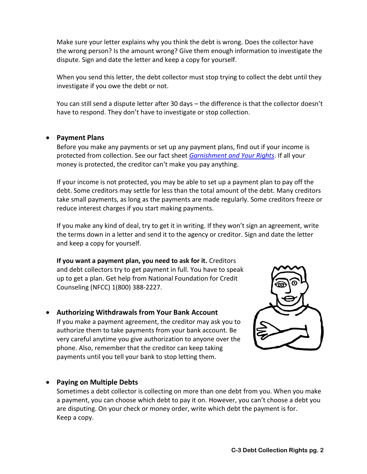Make sure your letter explains why you think the debt is wrong. Does the collector have the wrong person? Is the amount wrong? Give them enough information to investigate the dispute. Sign and date the letter and keep a copy for yourself.

When you send this letter, the debt collector must stop trying to collect the debt until they investigate if you owe the debt or not.

You can still send a dispute letter after 30 days – the difference is that the collector doesn't have to respond. They don't have to investigate or stop collection.

#### • **Payment Plans**

Before you make any payments or set up any payment plans, find out if your income is protected from collection. See our fact sheet *[Garnishment and Your Rights](http://www.lawhelpmn.org/self-help-library/fact-sheet/garnishment-and-your-rights)*. If all your money is protected, the creditor can't make you pay anything.

If your income is not protected, you may be able to set up a payment plan to pay off the debt. Some creditors may settle for less than the total amount of the debt. Many creditors take small payments, as long as the payments are made regularly. Some creditors freeze or reduce interest charges if you start making payments.

If you make any kind of deal, try to get it in writing. If they won't sign an agreement, write the terms down in a letter and send it to the agency or creditor. Sign and date the letter and keep a copy for yourself.

**If you want a payment plan, you need to ask for it.** Creditors and debt collectors try to get payment in full. You have to speak up to get a plan. Get help from National Foundation for Credit Counseling (NFCC) 1(800) 388-2227.

• **Authorizing Withdrawals from Your Bank Account** If you make a payment agreement, the creditor may ask you to authorize them to take payments from your bank account. Be very careful anytime you give authorization to anyone over the phone. Also, remember that the creditor can keep taking payments until you tell your bank to stop letting them.



#### • **Paying on Multiple Debts**

Sometimes a debt collector is collecting on more than one debt from you. When you make a payment, you can choose which debt to pay it on. However, you can't choose a debt you are disputing. On your check or money order, write which debt the payment is for. Keep a copy.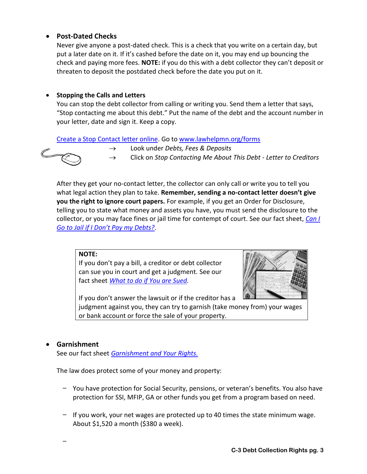## • **Post-Dated Checks**

Never give anyone a post-dated check. This is a check that you write on a certain day, but put a later date on it. If it's cashed before the date on it, you may end up bouncing the check and paying more fees. **NOTE:** if you do this with a debt collector they can't deposit or threaten to deposit the postdated check before the date you put on it.

#### • **Stopping the Calls and Letters**

You can stop the debt collector from calling or writing you. Send them a letter that says, "Stop contacting me about this debt." Put the name of the debt and the account number in your letter, date and sign it. Keep a copy.

[Create a Stop Contact letter online.](https://www.lawhelpmn.org/self-help-library/legal-resource/stop-contacting-me-about-debt-letter-creditors-do-it-yourself) Go to [www.lawhelpmn.org/forms](http://www.lawhelpmn.org/forms)



- → Look under *Debts, Fees & Deposits*
- → Click on *Stop Contacting Me About This Debt - Letter to Creditors*

After they get your no-contact letter, the collector can only call or write you to tell you what legal action they plan to take. **Remember, sending a no-contact letter doesn't give you the right to ignore court papers.** For example, if you get an Order for Disclosure, telling you to state what money and assets you have, you must send the disclosure to the collector, or you may face fines or jail time for contempt of court. See our fact sheet, *[Can I](http://www.lawhelpmn.org/self-help-library/fact-sheet/can-i-go-jail-if-i-dont-pay-my-debts)  [Go to Jail if I Don't Pay my Debts?](http://www.lawhelpmn.org/self-help-library/fact-sheet/can-i-go-jail-if-i-dont-pay-my-debts)*.

#### **NOTE:**

If you don't pay a bill, a creditor or debt collector can sue you in court and get a judgment. See our fact sheet *[What to do if You are Sued.](http://www.lawhelpmn.org/self-help-library/fact-sheet/what-do-if-you-are-sued)*



If you don't answer the lawsuit or if the creditor has a judgment against you, they can try to garnish (take money from) your wages or bank account or force the sale of your property.

#### • **Garnishment**

-

See our fact sheet *[Garnishment and Your Rights.](http://www.lawhelpmn.org/self-help-library/fact-sheet/garnishment-and-your-rights)*

The law does protect some of your money and property:

- You have protection for Social Security, pensions, or veteran's benefits. You also have protection for SSI, MFIP, GA or other funds you get from a program based on need.
- $-$  If you work, your net wages are protected up to 40 times the state minimum wage. About \$1,520 a month (\$380 a week).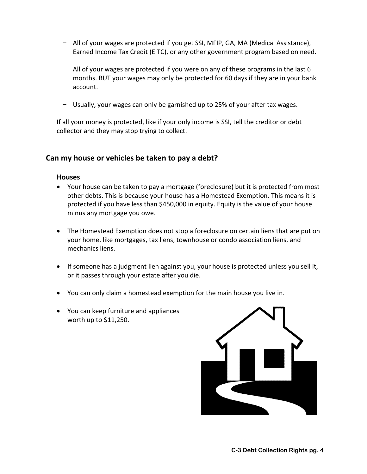- All of your wages are protected if you get SSI, MFIP, GA, MA (Medical Assistance), Earned Income Tax Credit (EITC), or any other government program based on need.

All of your wages are protected if you were on any of these programs in the last 6 months. BUT your wages may only be protected for 60 days if they are in your bank account.

Usually, your wages can only be garnished up to 25% of your after tax wages.

If all your money is protected, like if your only income is SSI, tell the creditor or debt collector and they may stop trying to collect.

# **Can my house or vehicles be taken to pay a debt?**

#### **Houses**

- Your house can be taken to pay a mortgage (foreclosure) but it is protected from most other debts. This is because your house has a Homestead Exemption. This means it is protected if you have less than \$450,000 in equity. Equity is the value of your house minus any mortgage you owe.
- The Homestead Exemption does not stop a foreclosure on certain liens that are put on your home, like mortgages, tax liens, townhouse or condo association liens, and mechanics liens.
- If someone has a judgment lien against you, your house is protected unless you sell it, or it passes through your estate after you die.
- You can only claim a homestead exemption for the main house you live in.
- You can keep furniture and appliances worth up to \$11,250.

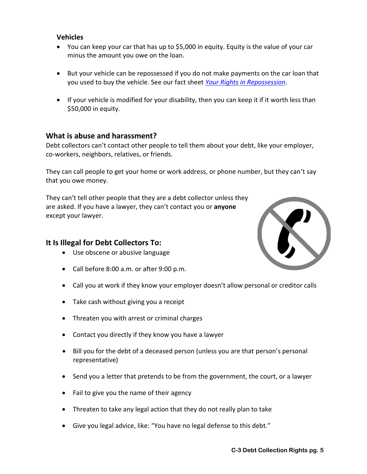#### **Vehicles**

- You can keep your car that has up to \$5,000 in equity. Equity is the value of your car minus the amount you owe on the loan.
- But your vehicle can be repossessed if you do not make payments on the car loan that you used to buy the vehicle. See our fact sheet *[Your Rights in Repossession](http://www.lawhelpmn.org/self-help-library/fact-sheet/your-rights-repossession)*.
- If your vehicle is modified for your disability, then you can keep it if it worth less than \$50,000 in equity.

# **What is abuse and harassment?**

Debt collectors can't contact other people to tell them about your debt, like your employer, co-workers, neighbors, relatives, or friends.

They can call people to get your home or work address, or phone number, but they can't say that you owe money.

They can't tell other people that they are a debt collector unless they are asked. If you have a lawyer, they can't contact you or **anyone** except your lawyer.

# **It Is Illegal for Debt Collectors To:**

- Use obscene or abusive language
- Call before 8:00 a.m. or after 9:00 p.m.
- Call you at work if they know your employer doesn't allow personal or creditor calls
- Take cash without giving you a receipt
- Threaten you with arrest or criminal charges
- Contact you directly if they know you have a lawyer
- Bill you for the debt of a deceased person (unless you are that person's personal representative)
- Send you a letter that pretends to be from the government, the court, or a lawyer
- Fail to give you the name of their agency
- Threaten to take any legal action that they do not really plan to take
- Give you legal advice, like: "You have no legal defense to this debt."